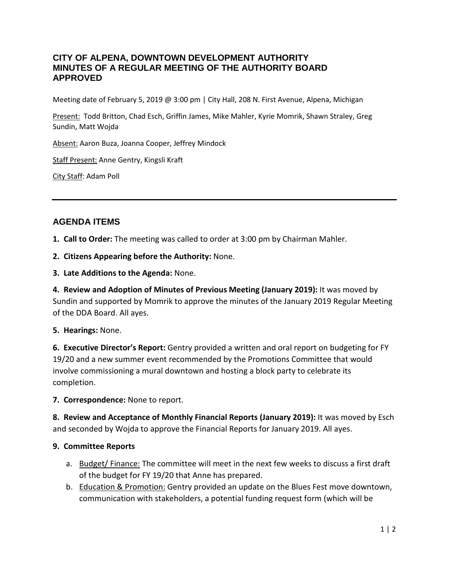### **CITY OF ALPENA, DOWNTOWN DEVELOPMENT AUTHORITY MINUTES OF A REGULAR MEETING OF THE AUTHORITY BOARD APPROVED**

Meeting date of February 5, 2019 @ 3:00 pm | City Hall, 208 N. First Avenue, Alpena, Michigan

Present: Todd Britton, Chad Esch, Griffin James, Mike Mahler, Kyrie Momrik, Shawn Straley, Greg Sundin, Matt Wojda

Absent: Aaron Buza, Joanna Cooper, Jeffrey Mindock

Staff Present: Anne Gentry, Kingsli Kraft

City Staff: Adam Poll

## **AGENDA ITEMS**

**1. Call to Order:** The meeting was called to order at 3:00 pm by Chairman Mahler.

**2. Citizens Appearing before the Authority:** None.

**3. Late Additions to the Agenda:** None.

**4. Review and Adoption of Minutes of Previous Meeting (January 2019):** It was moved by Sundin and supported by Momrik to approve the minutes of the January 2019 Regular Meeting of the DDA Board. All ayes.

#### **5. Hearings:** None.

**6. Executive Director's Report:** Gentry provided a written and oral report on budgeting for FY 19/20 and a new summer event recommended by the Promotions Committee that would involve commissioning a mural downtown and hosting a block party to celebrate its completion.

#### **7. Correspondence:** None to report.

**8. Review and Acceptance of Monthly Financial Reports (January 2019):** It was moved by Esch and seconded by Wojda to approve the Financial Reports for January 2019. All ayes.

#### **9. Committee Reports**

- a. Budget/ Finance: The committee will meet in the next few weeks to discuss a first draft of the budget for FY 19/20 that Anne has prepared.
- b. Education & Promotion: Gentry provided an update on the Blues Fest move downtown, communication with stakeholders, a potential funding request form (which will be